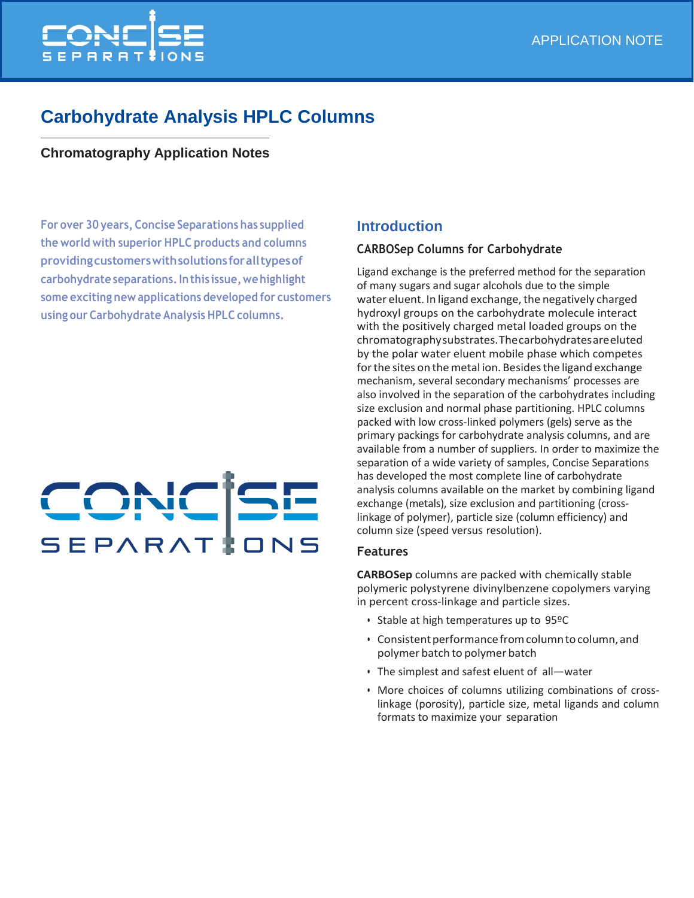

## **Carbohydrate Analysis HPLC Columns**

## **Chromatography Application Notes**

**For over 30 years, Concise Separations has supplied the world with superior HPLC products and columns providingcustomerswithsolutionsforalltypesof carbohydrate separations.Inthis issue,wehighlight some exciting new applications developed for customers using our Carbohydrate Analysis HPLC columns.**

# CONCR SEPARAT

## **Introduction**

#### **CARBOSep Columns for Carbohydrate**

Ligand exchange is the preferred method for the separation of many sugars and sugar alcohols due to the simple water eluent. In ligand exchange, the negatively charged hydroxyl groups on the carbohydrate molecule interact with the positively charged metal loaded groups on the chromatographysubstrates.Thecarbohydratesareeluted by the polar water eluent mobile phase which competes for the sites on the metal ion. Besides the ligand exchange mechanism, several secondary mechanisms' processes are also involved in the separation of the carbohydrates including size exclusion and normal phase partitioning. HPLC columns packed with low cross-linked polymers (gels) serve as the primary packings for carbohydrate analysis columns, and are available from a number of suppliers. In order to maximize the separation of a wide variety of samples, Concise Separations has developed the most complete line of carbohydrate analysis columns available on the market by combining ligand exchange (metals), size exclusion and partitioning (crosslinkage of polymer), particle size (column efficiency) and column size (speed versus resolution).

#### **Features**

**CARBOSep** columns are packed with chemically stable polymeric polystyrene divinylbenzene copolymers varying in percent cross-linkage and particle sizes.

- Stable at high temperatures up to 95ºC
- Consistent performance from column to column, and polymer batch to polymer batch
- The simplest and safest eluent of all—water
- More choices of columns utilizing combinations of crosslinkage (porosity), particle size, metal ligands and column formats to maximize your separation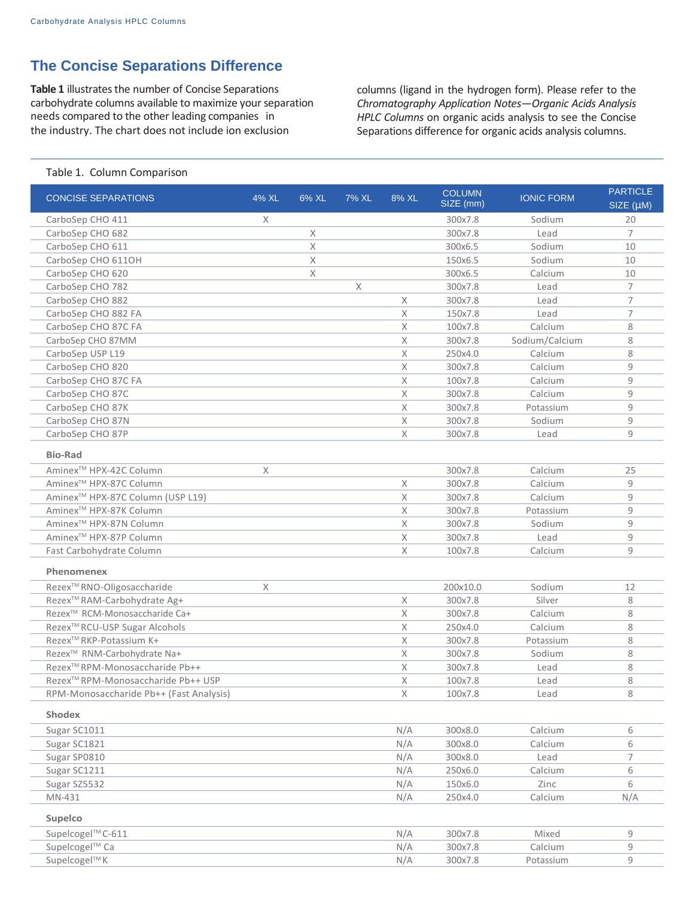## **The Concise Separations Difference**

**Table 1** illustrates the number of Concise Separations carbohydrate columns available to maximize your separation needs compared to the other leading companies in the industry. The chart does not include ion exclusion

columns (ligand in the hydrogen form). Please refer to the *Chromatography Application Notes—Organic Acids Analysis HPLC Columns* on organic acids analysis to see the Concise Separations difference for organic acids analysis columns.

#### Table 1. Column Comparison

| <b>CONCISE SEPARATIONS</b>                     | 4% XL | 6% XL | 7% XL    | 8% XL       | <b>COLUMN</b>      | <b>IONIC FORM</b>  | <b>PARTICLE</b> |
|------------------------------------------------|-------|-------|----------|-------------|--------------------|--------------------|-----------------|
|                                                |       |       |          |             | $SIZE$ (mm)        |                    | SIZE (µM)       |
| CarboSep CHO 411                               | X     |       |          |             | 300x7.8            | Sodium             | 20              |
| CarboSep CHO 682                               |       | X     |          |             | 300x7.8            | Lead               | $\overline{7}$  |
| CarboSep CHO 611                               |       | X     |          |             | 300x6.5            | Sodium             | 10              |
| CarboSep CHO 611OH                             |       | X     |          |             | 150x6.5            | Sodium             | 10              |
| CarboSep CHO 620                               |       | X     |          |             | 300x6.5            | Calcium            | 10              |
| CarboSep CHO 782                               |       |       | $\times$ |             | 300x7.8            | Lead               | $\overline{7}$  |
| CarboSep CHO 882                               |       |       |          | X           | 300x7.8            | Lead               | $\overline{7}$  |
| CarboSep CHO 882 FA                            |       |       |          | X           | 150x7.8            | Lead               | $\overline{7}$  |
| CarboSep CHO 87C FA                            |       |       |          | X           | 100x7.8            | Calcium            | 8               |
| CarboSep CHO 87MM                              |       |       |          | X           | 300x7.8            | Sodium/Calcium     | 8               |
| CarboSep USP L19                               |       |       |          | X           | 250x4.0            | Calcium            | 8               |
| CarboSep CHO 820                               |       |       |          | X           | 300x7.8            | Calcium            | 9               |
| CarboSep CHO 87C FA                            |       |       |          | $\mathsf X$ | 100x7.8            | Calcium            | 9               |
| CarboSep CHO 87C                               |       |       |          | X           | 300x7.8            | Calcium            | 9               |
| CarboSep CHO 87K                               |       |       |          | X           | 300x7.8            | Potassium          | 9               |
| CarboSep CHO 87N                               |       |       |          | X           | 300x7.8            | Sodium             | 9               |
| CarboSep CHO 87P                               |       |       |          | X           | 300x7.8            | Lead               | 9               |
| <b>Bio-Rad</b>                                 |       |       |          |             |                    |                    |                 |
| Aminex <sup>™</sup> HPX-42C Column             | X     |       |          |             | 300x7.8            | Calcium            | 25              |
| Aminex <sup>™</sup> HPX-87C Column             |       |       |          | X           | 300x7.8            | Calcium            | 9               |
| Aminex <sup>™</sup> HPX-87C Column (USP L19)   |       |       |          | X           | 300x7.8            | Calcium            | 9               |
| Aminex <sup>™</sup> HPX-87K Column             |       |       |          | X           | 300x7.8            | Potassium          | 9               |
| Aminex <sup>™</sup> HPX-87N Column             |       |       |          | X           | 300x7.8            | Sodium             | 9               |
| Aminex <sup>™</sup> HPX-87P Column             |       |       |          | X           | 300x7.8            | Lead               | 9               |
| Fast Carbohydrate Column                       |       |       |          | X           | 100x7.8            | Calcium            | 9               |
| Phenomenex                                     |       |       |          |             |                    |                    |                 |
| Rezex™ RNO-Oligosaccharide                     | X     |       |          |             | 200x10.0           | Sodium             | 12              |
| Rezex™RAM-Carbohydrate Ag+                     |       |       |          | X           | 300x7.8            | Silver             | 8               |
| Rezex™ RCM-Monosaccharide Ca+                  |       |       |          | X           | 300x7.8            | Calcium            | 8               |
| Rezex <sup>™</sup> RCU-USP Sugar Alcohols      |       |       |          | X           | 250x4.0            | Calcium            | 8               |
| Rezex™RKP-Potassium K+                         |       |       |          | X           | 300x7.8            | Potassium          | 8               |
| Rezex™ RNM-Carbohydrate Na+                    |       |       |          | X           | 300x7.8            | Sodium             | 8               |
| Rezex™RPM-Monosaccharide Pb++                  |       |       |          | X           | 300x7.8            | Lead               | 8               |
| Rezex <sup>™</sup> RPM-Monosaccharide Pb++ USP |       |       |          | X           | 100x7.8            | Lead               | 8               |
| RPM-Monosaccharide Pb++ (Fast Analysis)        |       |       |          | $\mathsf X$ | 100x7.8            | Lead               | 8               |
|                                                |       |       |          |             |                    |                    |                 |
| <b>Shodex</b>                                  |       |       |          |             |                    |                    |                 |
| Sugar SC1011                                   |       |       |          | N/A         | 300x8.0            | Calcium<br>Calcium | 6               |
| Sugar SC1821                                   |       |       |          | N/A         | 300x8.0            |                    | 6               |
| Sugar SP0810                                   |       |       |          | N/A         | 300x8.0            | Lead               | 7               |
| Sugar SC1211<br>Sugar SZ5532                   |       |       |          | N/A         | 250x6.0<br>150x6.0 | Calcium            | 6               |
|                                                |       |       |          | N/A         |                    | Zinc               | 6               |
| MN-431                                         |       |       |          | N/A         | 250x4.0            | Calcium            | N/A             |
| Supelco                                        |       |       |          |             |                    |                    |                 |
| Supelcogel™ C-611                              |       |       |          | N/A         | 300x7.8            | Mixed              | 9               |
| Supelcogel™ Ca                                 |       |       |          | N/A         | 300x7.8            | Calcium            | 9               |
| Supelcogel™K                                   |       |       |          | N/A         | 300x7.8            | Potassium          | 9               |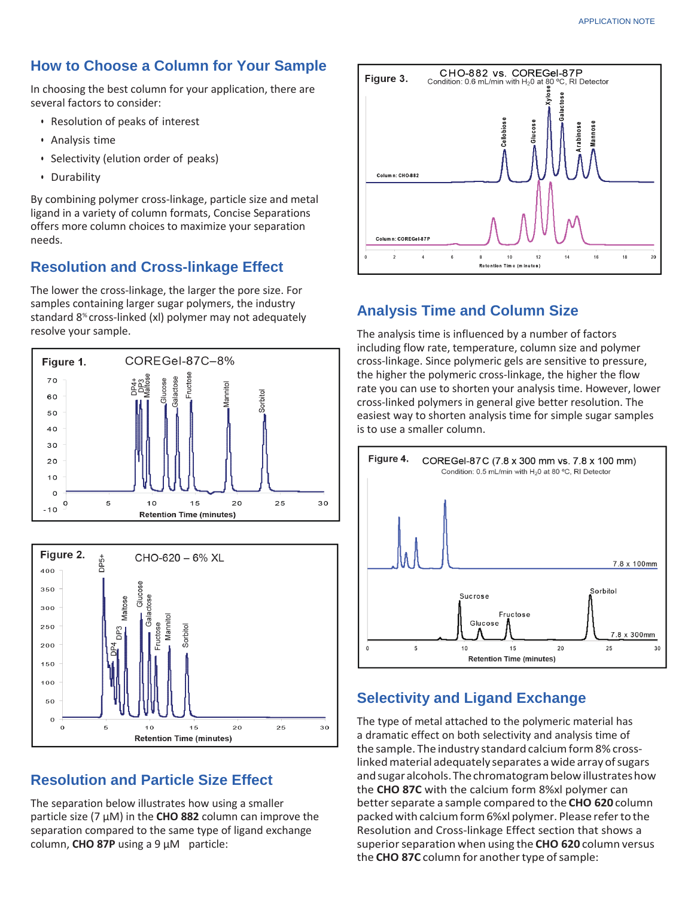## **How to Choose a Column for Your Sample**

In choosing the best column for your application, there are several factors to consider:

- Resolution of peaks of interest
- Analysis time
- Selectivity (elution order of peaks)
- Durability

By combining polymer cross-linkage, particle size and metal ligand in a variety of column formats, Concise Separations offers more column choices to maximize your separation needs.

## **Resolution and Cross-linkage Effect**

The lower the cross-linkage, the larger the pore size. For samples containing larger sugar polymers, the industry standard 8% cross-linked (xl) polymer may not adequately resolve your sample.





## **Resolution and Particle Size Effect**

The separation below illustrates how using a smaller particle size (7 μM) in the **CHO 882** column can improve the separation compared to the same type of ligand exchange column, **CHO 87P** using a 9 μM particle:



## **Analysis Time and Column Size**

The analysis time is influenced by a number of factors including flow rate, temperature, column size and polymer cross-linkage. Since polymeric gels are sensitive to pressure, the higher the polymeric cross-linkage, the higher the flow rate you can use to shorten your analysis time. However, lower cross-linked polymers in general give better resolution. The easiest way to shorten analysis time for simple sugar samples is to use a smaller column.



## **Selectivity and Ligand Exchange**

The type of metal attached to the polymeric material has a dramatic effect on both selectivity and analysis time of the sample. The industry standard calcium form 8% crosslinked material adequately separates a wide array of sugars and sugar alcohols. The chromatogram below illustrates how the **CHO 87C** with the calcium form 8%xl polymer can better separate a sample compared to the CHO 620 column packedwith calciumform6%xl polymer. Please referto the Resolution and Cross-linkage Effect section that shows a superior separation when using the **CHO 620** column versus the **CHO 87C** column for another type of sample: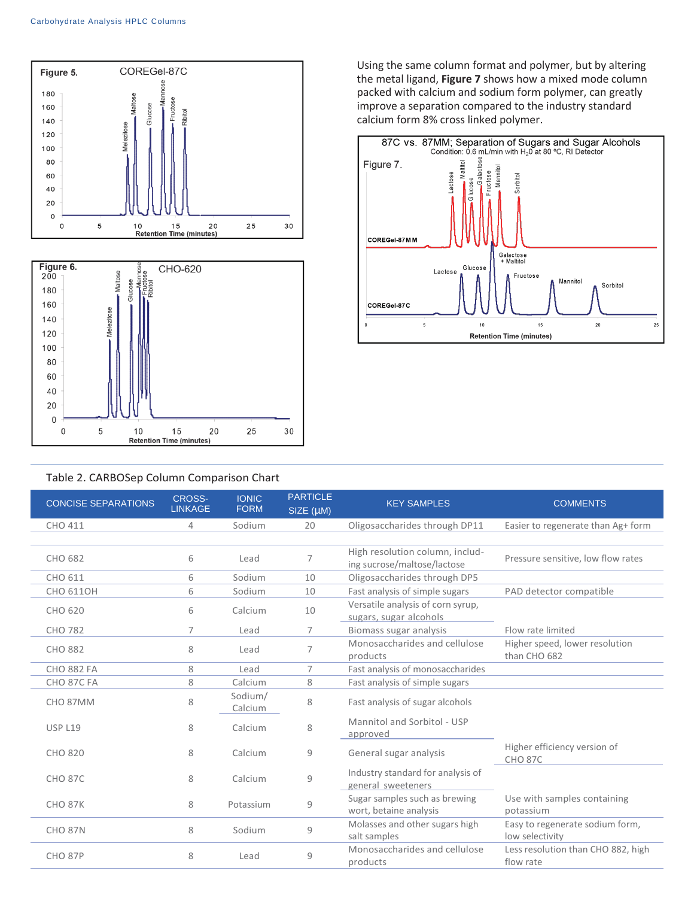

Using the same column format and polymer, but by altering the metal ligand, **Figure 7** shows how a mixed mode column packed with calcium and sodium form polymer, can greatly improve a separation compared to the industry standard calcium form 8% cross linked polymer.



#### Table 2. CARBOSep Column Comparison Chart

| <b>CONCISE SEPARATIONS</b> | <b>CROSS-</b><br><b>LINKAGE</b> | <b>IONIC</b><br><b>FORM</b> | <b>PARTICLE</b><br>SIZE (µM) | <b>KEY SAMPLES</b>                                             | <b>COMMENTS</b>                                    |
|----------------------------|---------------------------------|-----------------------------|------------------------------|----------------------------------------------------------------|----------------------------------------------------|
| CHO 411                    | 4                               | Sodium                      | 20                           | Oligosaccharides through DP11                                  | Easier to regenerate than Ag+ form                 |
|                            |                                 |                             |                              |                                                                |                                                    |
| CHO 682                    | 6                               | Lead                        | $\overline{7}$               | High resolution column, includ-<br>ing sucrose/maltose/lactose | Pressure sensitive, low flow rates                 |
| CHO 611                    | 6                               | Sodium                      | 10                           | Oligosaccharides through DP5                                   |                                                    |
| <b>CHO 6110H</b>           | 6                               | Sodium                      | 10                           | Fast analysis of simple sugars                                 | PAD detector compatible                            |
| CHO 620                    | 6                               | Calcium                     | 10                           | Versatile analysis of corn syrup,<br>sugars, sugar alcohols    |                                                    |
| <b>CHO 782</b>             | 7                               | Lead                        | 7                            | Biomass sugar analysis                                         | Flow rate limited                                  |
| <b>CHO 882</b>             | 8                               | Lead                        | 7                            | Monosaccharides and cellulose<br>products                      | Higher speed, lower resolution<br>than CHO 682     |
| <b>CHO 882 FA</b>          | 8                               | Lead                        | 7                            | Fast analysis of monosaccharides                               |                                                    |
| CHO 87C FA                 | 8                               | Calcium                     | 8                            | Fast analysis of simple sugars                                 |                                                    |
| CHO <sub>87MM</sub>        | 8                               | Sodium/<br>Calcium          | 8                            | Fast analysis of sugar alcohols                                |                                                    |
| <b>USP L19</b>             | 8                               | Calcium                     | 8                            | Mannitol and Sorbitol - USP<br>approved                        |                                                    |
| CHO 820                    | 8                               | Calcium                     | 9                            | General sugar analysis                                         | Higher efficiency version of<br><b>CHO 87C</b>     |
| <b>CHO 87C</b>             | 8                               | Calcium                     | 9                            | Industry standard for analysis of<br>general sweeteners        |                                                    |
| <b>CHO 87K</b>             | 8                               | Potassium                   | 9                            | Sugar samples such as brewing<br>wort, betaine analysis        | Use with samples containing<br>potassium           |
| <b>CHO 87N</b>             | 8                               | Sodium                      | 9                            | Molasses and other sugars high<br>salt samples                 | Easy to regenerate sodium form,<br>low selectivity |
| <b>CHO 87P</b>             | 8                               | Lead                        | 9                            | Monosaccharides and cellulose<br>products                      | Less resolution than CHO 882, high<br>flow rate    |
|                            |                                 |                             |                              |                                                                |                                                    |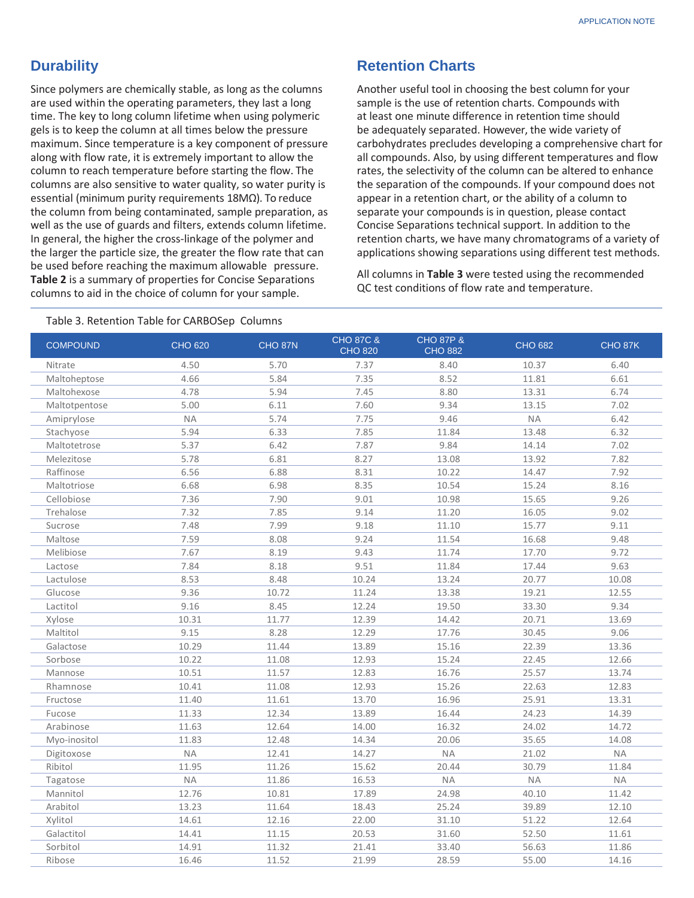## **Durability**

Since polymers are chemically stable, as long as the columns are used within the operating parameters, they last a long time. The key to long column lifetime when using polymeric gels is to keep the column at all times below the pressure maximum. Since temperature is a key component of pressure along with flow rate, it is extremely important to allow the column to reach temperature before starting the flow. The columns are also sensitive to water quality, so water purity is essential (minimum purity requirements 18MΩ). To reduce the column from being contaminated, sample preparation, as well as the use of guards and filters, extends column lifetime. In general, the higher the cross-linkage of the polymer and the larger the particle size, the greater the flow rate that can be used before reaching the maximum allowable pressure. **Table 2** is a summary of properties for Concise Separations columns to aid in the choice of column for your sample.

## **Retention Charts**

Another useful tool in choosing the best column for your sample is the use of retention charts. Compounds with at least one minute difference in retention time should be adequately separated. However, the wide variety of carbohydrates precludes developing a comprehensive chart for all compounds. Also, by using different temperatures and flow rates, the selectivity of the column can be altered to enhance the separation of the compounds. If your compound does not appear in a retention chart, or the ability of a column to separate your compounds is in question, please contact Concise Separations technical support. In addition to the retention charts, we have many chromatograms of a variety of applications showing separations using different test methods.

All columns in **Table 3** were tested using the recommended QC test conditions of flow rate and temperature.

| Table 3. Retention Table for CARBOSep Columns |  |
|-----------------------------------------------|--|
|-----------------------------------------------|--|

| <b>COMPOUND</b> | <b>CHO 620</b> | CHO <sub>87N</sub> | <b>CHO 87C &amp;</b><br><b>CHO 820</b> | <b>CHO 87P &amp;</b><br><b>CHO 882</b> | <b>CHO 682</b> | CHO 87K   |
|-----------------|----------------|--------------------|----------------------------------------|----------------------------------------|----------------|-----------|
| Nitrate         | 4.50           | 5.70               | 7.37                                   | 8.40                                   | 10.37          | 6.40      |
| Maltoheptose    | 4.66           | 5.84               | 7.35                                   | 8.52                                   | 11.81          | 6.61      |
| Maltohexose     | 4.78           | 5.94               | 7.45                                   | 8.80                                   | 13.31          | 6.74      |
| Maltotpentose   | 5.00           | 6.11               | 7.60                                   | 9.34                                   | 13.15          | 7.02      |
| Amiprylose      | <b>NA</b>      | 5.74               | 7.75                                   | 9.46                                   | $\sf NA$       | 6.42      |
| Stachyose       | 5.94           | 6.33               | 7.85                                   | 11.84                                  | 13.48          | 6.32      |
| Maltotetrose    | 5.37           | 6.42               | 7.87                                   | 9.84                                   | 14.14          | 7.02      |
| Melezitose      | 5.78           | 6.81               | 8.27                                   | 13.08                                  | 13.92          | 7.82      |
| Raffinose       | 6.56           | 6.88               | 8.31                                   | 10.22                                  | 14.47          | 7.92      |
| Maltotriose     | 6.68           | 6.98               | 8.35                                   | 10.54                                  | 15.24          | 8.16      |
| Cellobiose      | 7.36           | 7.90               | 9.01                                   | 10.98                                  | 15.65          | 9.26      |
| Trehalose       | 7.32           | 7.85               | 9.14                                   | 11.20                                  | 16.05          | 9.02      |
| Sucrose         | 7.48           | 7.99               | 9.18                                   | 11.10                                  | 15.77          | 9.11      |
| Maltose         | 7.59           | 8.08               | 9.24                                   | 11.54                                  | 16.68          | 9.48      |
| Melibiose       | 7.67           | 8.19               | 9.43                                   | 11.74                                  | 17.70          | 9.72      |
| Lactose         | 7.84           | 8.18               | 9.51                                   | 11.84                                  | 17.44          | 9.63      |
| Lactulose       | 8.53           | 8.48               | 10.24                                  | 13.24                                  | 20.77          | 10.08     |
| Glucose         | 9.36           | 10.72              | 11.24                                  | 13.38                                  | 19.21          | 12.55     |
| Lactitol        | 9.16           | 8.45               | 12.24                                  | 19.50                                  | 33.30          | 9.34      |
| Xylose          | 10.31          | 11.77              | 12.39                                  | 14.42                                  | 20.71          | 13.69     |
| Maltitol        | 9.15           | 8.28               | 12.29                                  | 17.76                                  | 30.45          | 9.06      |
| Galactose       | 10.29          | 11.44              | 13.89                                  | 15.16                                  | 22.39          | 13.36     |
| Sorbose         | 10.22          | 11.08              | 12.93                                  | 15.24                                  | 22.45          | 12.66     |
| Mannose         | 10.51          | 11.57              | 12.83                                  | 16.76                                  | 25.57          | 13.74     |
| Rhamnose        | 10.41          | 11.08              | 12.93                                  | 15.26                                  | 22.63          | 12.83     |
| Fructose        | 11.40          | 11.61              | 13.70                                  | 16.96                                  | 25.91          | 13.31     |
| Fucose          | 11.33          | 12.34              | 13.89                                  | 16.44                                  | 24.23          | 14.39     |
| Arabinose       | 11.63          | 12.64              | 14.00                                  | 16.32                                  | 24.02          | 14.72     |
| Myo-inositol    | 11.83          | 12.48              | 14.34                                  | 20.06                                  | 35.65          | 14.08     |
| Digitoxose      | <b>NA</b>      | 12.41              | 14.27                                  | <b>NA</b>                              | 21.02          | <b>NA</b> |
| Ribitol         | 11.95          | 11.26              | 15.62                                  | 20.44                                  | 30.79          | 11.84     |
| Tagatose        | <b>NA</b>      | 11.86              | 16.53                                  | NA                                     | <b>NA</b>      | <b>NA</b> |
| Mannitol        | 12.76          | 10.81              | 17.89                                  | 24.98                                  | 40.10          | 11.42     |
| Arabitol        | 13.23          | 11.64              | 18.43                                  | 25.24                                  | 39.89          | 12.10     |
| Xylitol         | 14.61          | 12.16              | 22.00                                  | 31.10                                  | 51.22          | 12.64     |
| Galactitol      | 14.41          | 11.15              | 20.53                                  | 31.60                                  | 52.50          | 11.61     |
| Sorbitol        | 14.91          | 11.32              | 21.41                                  | 33.40                                  | 56.63          | 11.86     |
| Ribose          | 16.46          | 11.52              | 21.99                                  | 28.59                                  | 55.00          | 14.16     |
|                 |                |                    |                                        |                                        |                |           |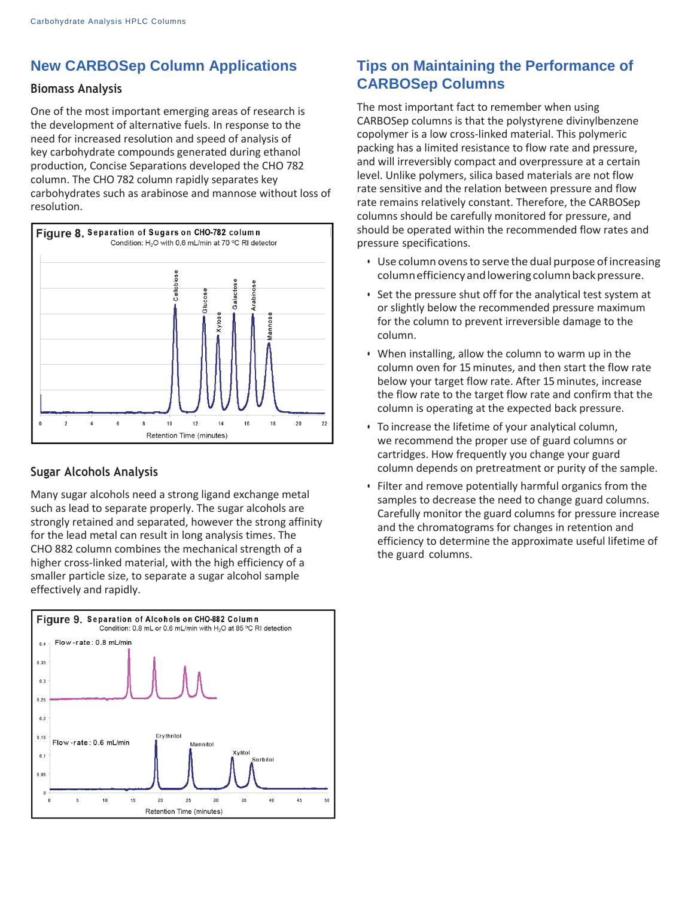## **New CARBOSep Column Applications**

#### **Biomass Analysis**

One of the most important emerging areas of research is the development of alternative fuels. In response to the need for increased resolution and speed of analysis of key carbohydrate compounds generated during ethanol production, Concise Separations developed the CHO 782 column. The CHO 782 column rapidly separates key carbohydrates such as arabinose and mannose without loss of resolution.



#### **Sugar Alcohols Analysis**

Many sugar alcohols need a strong ligand exchange metal such as lead to separate properly. The sugar alcohols are strongly retained and separated, however the strong affinity for the lead metal can result in long analysis times. The CHO 882 column combines the mechanical strength of a higher cross-linked material, with the high efficiency of a smaller particle size, to separate a sugar alcohol sample effectively and rapidly.



## **Tips on Maintaining the Performance of CARBOSep Columns**

The most important fact to remember when using CARBOSep columns is that the polystyrene divinylbenzene copolymer is a low cross-linked material. This polymeric packing has a limited resistance to flow rate and pressure, and will irreversibly compact and overpressure at a certain level. Unlike polymers, silica based materials are not flow rate sensitive and the relation between pressure and flow rate remains relatively constant. Therefore, the CARBOSep columns should be carefully monitored for pressure, and should be operated within the recommended flow rates and pressure specifications.

- Use column ovens to serve the dual purpose of increasing column efficiency and lowering column back pressure.
- Set the pressure shut off for the analytical test system at or slightly below the recommended pressure maximum for the column to prevent irreversible damage to the column.
- When installing, allow the column to warm up in the column oven for 15 minutes, and then start the flow rate below your target flow rate. After 15 minutes, increase the flow rate to the target flow rate and confirm that the column is operating at the expected back pressure.
- To increase the lifetime of your analytical column, we recommend the proper use of guard columns or cartridges. How frequently you change your guard column depends on pretreatment or purity of the sample.
- Filter and remove potentially harmful organics from the samples to decrease the need to change guard columns. Carefully monitor the guard columns for pressure increase and the chromatograms for changes in retention and efficiency to determine the approximate useful lifetime of the guard columns.